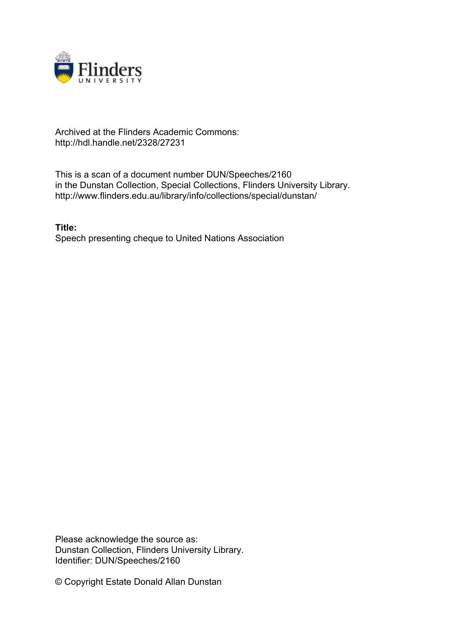

## Archived at the Flinders Academic Commons: http://hdl.handle.net/2328/27231

This is a scan of a document number DUN/Speeches/2160 in the Dunstan Collection, Special Collections, Flinders University Library. http://www.flinders.edu.au/library/info/collections/special/dunstan/

**Title:** Speech presenting cheque to United Nations Association

Please acknowledge the source as: Dunstan Collection, Flinders University Library. Identifier: DUN/Speeches/2160

© Copyright Estate Donald Allan Dunstan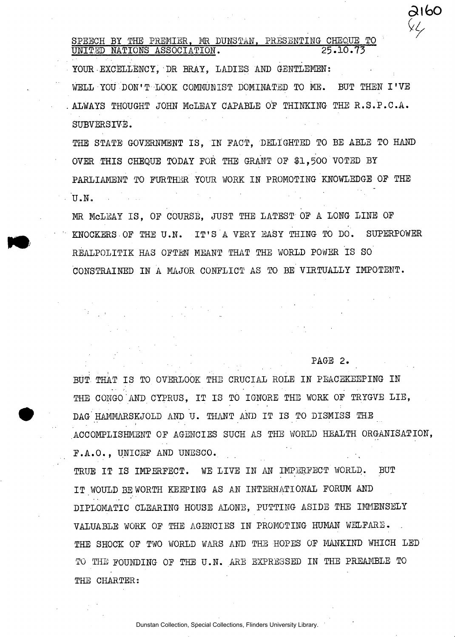**SPEECH BY THE PREMIER, MR DUNS TAN, PRESENTING- CHEQUE TO UNITED NATIONS ASSOCIATION. 25.10.7 3** 

**YOUR-EXCELLENCY, DR BRAY, LADIES AND GENTLEMEN:**  WELL YOU DON'T LOOK COMMUNIST DOMINATED TO ME. BUT THEN I'VE **ALWAYS THOUGHT JOHN McLEAY CAPABLE OF THINKING THE R.S.P.C.A . SUBVERSIVE.** 

**THE STATE GOVERNMENT IS , IN FACT, DELIGHTED TO BE ABLE TO HAND OVER THIS CHEQUE TODAY FOR THE GRANT OF \$1,50 0 VOTED BY PARLIAMENT TO FURTHER YOUR WORK IN PROMOTING KNOWLEDGE OF THE U.N .** 

**MR McLEAY IS , OF COURSE, JUST THE LATEST OF A LONG LINE OF KNOCKERS OF THE U.N . IT' S A VERY EASY THING TO DO. SUPERPOWER**  REALPOLITIK HAS OFTEN MEANT THAT THE WORLD POWER IS SO **CONSTRAINED IN A MAJOR CONFLICT AS TO BE VIRTUALLY IMPOTENT.** 

## **PAGE 2 .**

aifao

BUT THAT IS TO OVERLOOK THE CRUCIAL ROLE IN PEACEKEEPING IN THE CONGO AND CYPRUS. IT IS TO IGNORE THE WORK OF TRYGVE LIE, **DAG HAMMARSKJOLD AND U. THANT AND IT IS TO DISMISS THE ACCOMPLISHMENT OF AGENCIES SUCH AS THE WORLD HEALTH ORGANISATION, F.A.O. , UNICEF AND UNESCO. ^** 

TRUE IT IS IMPERFECT. WE LIVE IN AN IMPERFECT WORLD. BUT **IT WOULD BE WORTH KEEPING AS AN INTERNATIONAL FORUM AND DIPLOMATIC CLEARING HOUSE ALONE, PUTTING ASIDE THE IMMENSELY VALUABLE WORK OF THE AGENCIES IN PROMOTING HUMAN WELFARE. THE SHOCK OF TWO WORLD WARS AND THE HOPES OF MANKIND WHICH LED TO THE FOUNDING OF THE U.N . ARE EXPRESSED IN THE PREAMBLE TO THE CHARTER:**